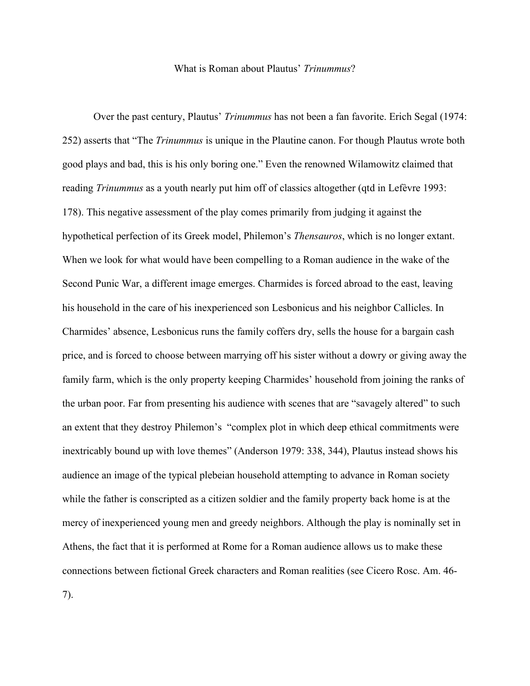## What is Roman about Plautus' *Trinummus*?

Over the past century, Plautus' *Trinummus* has not been a fan favorite. Erich Segal (1974: 252) asserts that "The *Trinummus* is unique in the Plautine canon. For though Plautus wrote both good plays and bad, this is his only boring one." Even the renowned Wilamowitz claimed that reading *Trinummus* as a youth nearly put him off of classics altogether (qtd in Lefèvre 1993: 178). This negative assessment of the play comes primarily from judging it against the hypothetical perfection of its Greek model, Philemon's *Thensauros*, which is no longer extant. When we look for what would have been compelling to a Roman audience in the wake of the Second Punic War, a different image emerges. Charmides is forced abroad to the east, leaving his household in the care of his inexperienced son Lesbonicus and his neighbor Callicles. In Charmides' absence, Lesbonicus runs the family coffers dry, sells the house for a bargain cash price, and is forced to choose between marrying off his sister without a dowry or giving away the family farm, which is the only property keeping Charmides' household from joining the ranks of the urban poor. Far from presenting his audience with scenes that are "savagely altered" to such an extent that they destroy Philemon's "complex plot in which deep ethical commitments were inextricably bound up with love themes" (Anderson 1979: 338, 344), Plautus instead shows his audience an image of the typical plebeian household attempting to advance in Roman society while the father is conscripted as a citizen soldier and the family property back home is at the mercy of inexperienced young men and greedy neighbors. Although the play is nominally set in Athens, the fact that it is performed at Rome for a Roman audience allows us to make these connections between fictional Greek characters and Roman realities (see Cicero Rosc. Am. 46-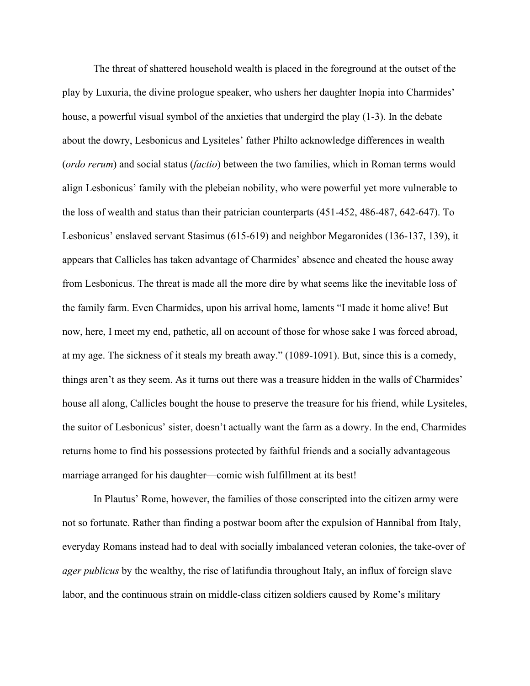The threat of shattered household wealth is placed in the foreground at the outset of the play by Luxuria, the divine prologue speaker, who ushers her daughter Inopia into Charmides' house, a powerful visual symbol of the anxieties that undergird the play (1-3). In the debate about the dowry, Lesbonicus and Lysiteles' father Philto acknowledge differences in wealth (*ordo rerum*) and social status (*factio*) between the two families, which in Roman terms would align Lesbonicus' family with the plebeian nobility, who were powerful yet more vulnerable to the loss of wealth and status than their patrician counterparts (451-452, 486-487, 642-647). To Lesbonicus' enslaved servant Stasimus (615-619) and neighbor Megaronides (136-137, 139), it appears that Callicles has taken advantage of Charmides' absence and cheated the house away from Lesbonicus. The threat is made all the more dire by what seems like the inevitable loss of the family farm. Even Charmides, upon his arrival home, laments "I made it home alive! But now, here, I meet my end, pathetic, all on account of those for whose sake I was forced abroad, at my age. The sickness of it steals my breath away." (1089-1091). But, since this is a comedy, things aren't as they seem. As it turns out there was a treasure hidden in the walls of Charmides' house all along, Callicles bought the house to preserve the treasure for his friend, while Lysiteles, the suitor of Lesbonicus' sister, doesn't actually want the farm as a dowry. In the end, Charmides returns home to find his possessions protected by faithful friends and a socially advantageous marriage arranged for his daughter—comic wish fulfillment at its best!

In Plautus' Rome, however, the families of those conscripted into the citizen army were not so fortunate. Rather than finding a postwar boom after the expulsion of Hannibal from Italy, everyday Romans instead had to deal with socially imbalanced veteran colonies, the take-over of *ager publicus* by the wealthy, the rise of latifundia throughout Italy, an influx of foreign slave labor, and the continuous strain on middle-class citizen soldiers caused by Rome's military